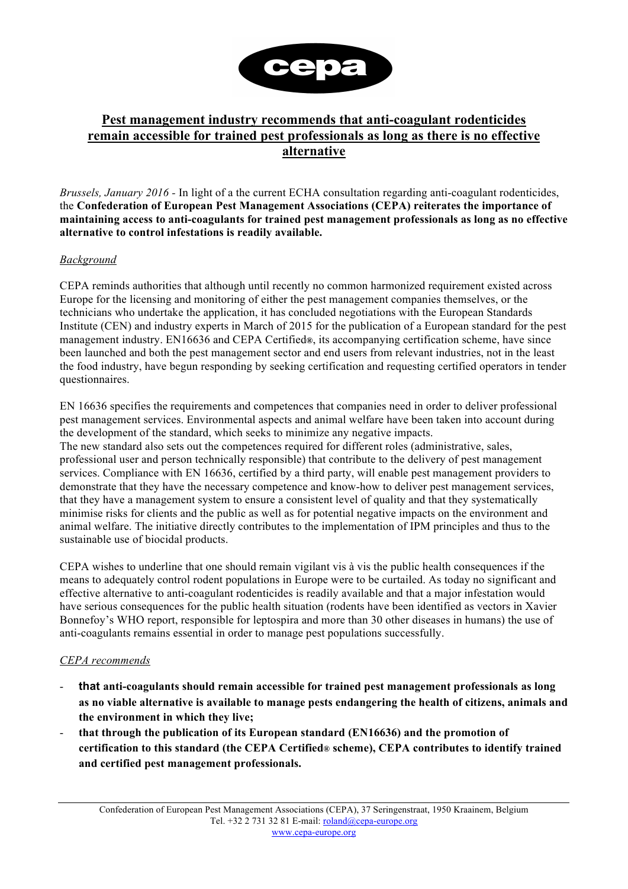

## **Pest management industry recommends that anti-coagulant rodenticides remain accessible for trained pest professionals as long as there is no effective alternative**

*Brussels, January 2016 -* In light of a the current ECHA consultation regarding anti-coagulant rodenticides, the **Confederation of European Pest Management Associations (CEPA) reiterates the importance of maintaining access to anti-coagulants for trained pest management professionals as long as no effective alternative to control infestations is readily available.**

## *Background*

CEPA reminds authorities that although until recently no common harmonized requirement existed across Europe for the licensing and monitoring of either the pest management companies themselves, or the technicians who undertake the application, it has concluded negotiations with the European Standards Institute (CEN) and industry experts in March of 2015 for the publication of a European standard for the pest management industry. EN16636 and CEPA Certified**®**, its accompanying certification scheme, have since been launched and both the pest management sector and end users from relevant industries, not in the least the food industry, have begun responding by seeking certification and requesting certified operators in tender questionnaires.

EN 16636 specifies the requirements and competences that companies need in order to deliver professional pest management services. Environmental aspects and animal welfare have been taken into account during the development of the standard, which seeks to minimize any negative impacts. The new standard also sets out the competences required for different roles (administrative, sales, professional user and person technically responsible) that contribute to the delivery of pest management services. Compliance with EN 16636, certified by a third party, will enable pest management providers to demonstrate that they have the necessary competence and know-how to deliver pest management services, that they have a management system to ensure a consistent level of quality and that they systematically minimise risks for clients and the public as well as for potential negative impacts on the environment and animal welfare. The initiative directly contributes to the implementation of IPM principles and thus to the sustainable use of biocidal products.

CEPA wishes to underline that one should remain vigilant vis à vis the public health consequences if the means to adequately control rodent populations in Europe were to be curtailed. As today no significant and effective alternative to anti-coagulant rodenticides is readily available and that a major infestation would have serious consequences for the public health situation (rodents have been identified as vectors in Xavier Bonnefoy's WHO report, responsible for leptospira and more than 30 other diseases in humans) the use of anti-coagulants remains essential in order to manage pest populations successfully.

## *CEPA recommends*

- **that anti-coagulants should remain accessible for trained pest management professionals as long as no viable alternative is available to manage pests endangering the health of citizens, animals and the environment in which they live;**
- **that through the publication of its European standard (EN16636) and the promotion of certification to this standard (the CEPA Certified® scheme), CEPA contributes to identify trained and certified pest management professionals.**